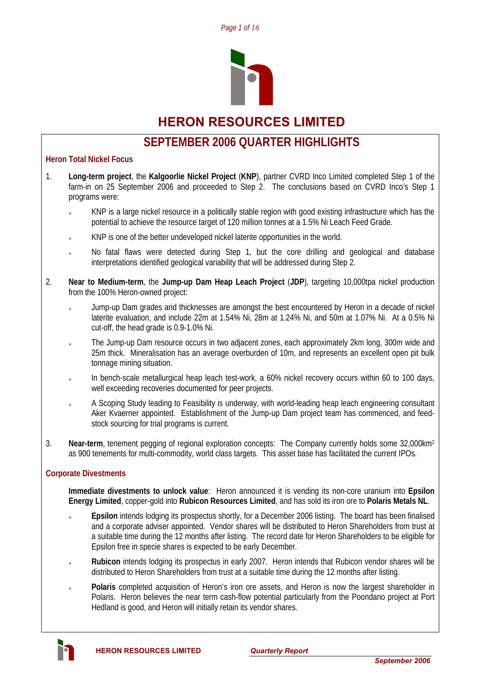



# **HERON RESOURCES LIMITED**

# **SEPTEMBER 2006 QUARTER HIGHLIGHTS**

## **Heron Total Nickel Focus**

- 1. **Long-term project**, the **Kalgoorlie Nickel Project** (**KNP**), partner CVRD Inco Limited completed Step 1 of the farm-in on 25 September 2006 and proceeded to Step 2. The conclusions based on CVRD Inco's Step 1 programs were:
	- <sup>¾</sup> KNP is a large nickel resource in a politically stable region with good existing infrastructure which has the potential to achieve the resource target of 120 million tonnes at a 1.5% Ni Leach Feed Grade.
	- <sup>¾</sup> KNP is one of the better undeveloped nickel laterite opportunities in the world.
	- No fatal flaws were detected during Step 1, but the core drilling and geological and database interpretations identified geological variability that will be addressed during Step 2.
- 2. **Near to Medium-term**, the **Jump-up Dam Heap Leach Project** (**JDP**), targeting 10,000tpa nickel production from the 100% Heron-owned project:
	- <sup>¾</sup> Jump-up Dam grades and thicknesses are amongst the best encountered by Heron in a decade of nickel laterite evaluation, and include 22m at 1.54% Ni, 28m at 1.24% Ni, and 50m at 1.07% Ni. At a 0.5% Ni cut-off, the head grade is 0.9-1.0% Ni.
	- The Jump-up Dam resource occurs in two adjacent zones, each approximately 2km long, 300m wide and 25m thick. Mineralisation has an average overburden of 10m, and represents an excellent open pit bulk tonnage mining situation.
	- In bench-scale metallurgical heap leach test-work, a 60% nickel recovery occurs within 60 to 100 days, well exceeding recoveries documented for peer projects.
	- <sup>¾</sup> A Scoping Study leading to Feasibility is underway, with world-leading heap leach engineering consultant Aker Kvaerner appointed. Establishment of the Jump-up Dam project team has commenced, and feedstock sourcing for trial programs is current.
- 3. **Near-term**, tenement pegging of regional exploration concepts: The Company currently holds some 32,000km2 as 900 tenements for multi-commodity, world class targets. This asset base has facilitated the current IPOs.

## **Corporate Divestments**

**Immediate divestments to unlock value**: Heron announced it is vending its non-core uranium into **Epsilon Energy Limited**, copper-gold into **Rubicon Resources Limited**, and has sold its iron ore to **Polaris Metals NL**.

- <sup>¾</sup> **Epsilon** intends lodging its prospectus shortly, for a December 2006 listing. The board has been finalised and a corporate adviser appointed. Vendor shares will be distributed to Heron Shareholders from trust at a suitable time during the 12 months after listing. The record date for Heron Shareholders to be eligible for Epsilon free in specie shares is expected to be early December.
- <sup>¾</sup> **Rubicon** intends lodging its prospectus in early 2007. Heron intends that Rubicon vendor shares will be distributed to Heron Shareholders from trust at a suitable time during the 12 months after listing.
- <sup>¾</sup> **Polaris** completed acquisition of Heron's iron ore assets, and Heron is now the largest shareholder in Polaris. Heron believes the near term cash-flow potential particularly from the Poondano project at Port Hedland is good, and Heron will initially retain its vendor shares.

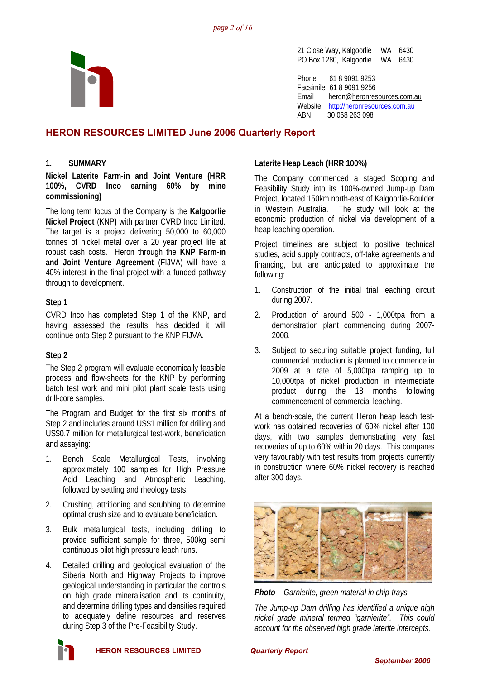

21 Close Way, Kalgoorlie WA 6430 PO Box 1280, Kalgoorlie WA 6430 Phone 61 8 9091 9253 Facsimile 61 8 9091 9256

Email heron@heronresources.com.au Website http://heronresources.com.au ABN 30 068 263 098

## **HERON RESOURCES LIMITED June 2006 Quarterly Report**

## **1. SUMMARY**

**Nickel Laterite Farm-in and Joint Venture (HRR 100%, CVRD Inco earning 60% by mine commissioning)** 

The long term focus of the Company is the **Kalgoorlie Nickel Project** (KNP**)** with partner CVRD Inco Limited. The target is a project delivering 50,000 to 60,000 tonnes of nickel metal over a 20 year project life at robust cash costs. Heron through the **KNP Farm-in and Joint Venture Agreement** (FIJVA) will have a 40% interest in the final project with a funded pathway through to development.

## **Step 1**

CVRD Inco has completed Step 1 of the KNP, and having assessed the results, has decided it will continue onto Step 2 pursuant to the KNP FIJVA.

## **Step 2**

The Step 2 program will evaluate economically feasible process and flow-sheets for the KNP by performing batch test work and mini pilot plant scale tests using drill-core samples.

The Program and Budget for the first six months of Step 2 and includes around US\$1 million for drilling and US\$0.7 million for metallurgical test-work, beneficiation and assaying:

- 1. Bench Scale Metallurgical Tests, involving approximately 100 samples for High Pressure Acid Leaching and Atmospheric Leaching, followed by settling and rheology tests.
- 2. Crushing, attritioning and scrubbing to determine optimal crush size and to evaluate beneficiation.
- 3. Bulk metallurgical tests, including drilling to provide sufficient sample for three, 500kg semi continuous pilot high pressure leach runs.
- 4. Detailed drilling and geological evaluation of the Siberia North and Highway Projects to improve geological understanding in particular the controls on high grade mineralisation and its continuity, and determine drilling types and densities required to adequately define resources and reserves during Step 3 of the Pre-Feasibility Study.



#### **HERON RESOURCES LIMITED** *Quarterly Report*

## **Laterite Heap Leach (HRR 100%)**

The Company commenced a staged Scoping and Feasibility Study into its 100%-owned Jump-up Dam Project, located 150km north-east of Kalgoorlie-Boulder in Western Australia. The study will look at the economic production of nickel via development of a heap leaching operation.

Project timelines are subject to positive technical studies, acid supply contracts, off-take agreements and financing, but are anticipated to approximate the following:

- 1. Construction of the initial trial leaching circuit during 2007.
- 2. Production of around 500 1,000tpa from a demonstration plant commencing during 2007- 2008.
- 3. Subject to securing suitable project funding, full commercial production is planned to commence in 2009 at a rate of 5,000tpa ramping up to 10,000tpa of nickel production in intermediate product during the 18 months following commencement of commercial leaching.

At a bench-scale, the current Heron heap leach testwork has obtained recoveries of 60% nickel after 100 days, with two samples demonstrating very fast recoveries of up to 60% within 20 days. This compares very favourably with test results from projects currently in construction where 60% nickel recovery is reached after 300 days.



*Photo Garnierite, green material in chip-trays.* 

*The Jump-up Dam drilling has identified a unique high nickel grade mineral termed "garnierite". This could account for the observed high grade laterite intercepts.*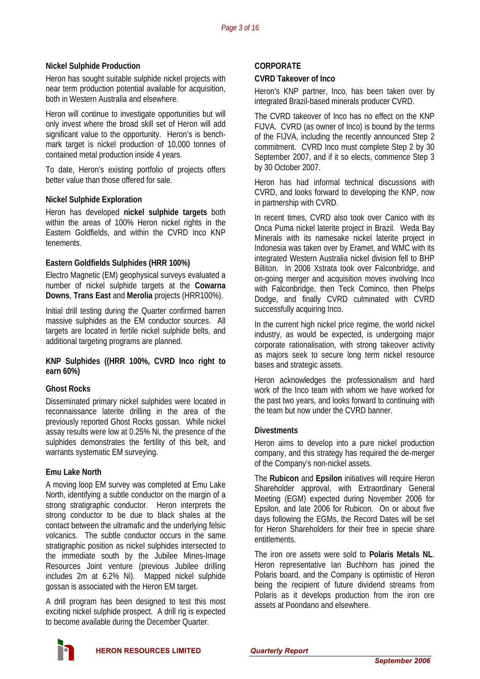## **Nickel Sulphide Production**

Heron has sought suitable sulphide nickel projects with near term production potential available for acquisition, both in Western Australia and elsewhere.

Heron will continue to investigate opportunities but will only invest where the broad skill set of Heron will add significant value to the opportunity. Heron's is benchmark target is nickel production of 10,000 tonnes of contained metal production inside 4 years.

To date, Heron's existing portfolio of projects offers better value than those offered for sale.

#### **Nickel Sulphide Exploration**

Heron has developed **nickel sulphide targets** both within the areas of 100% Heron nickel rights in the Eastern Goldfields, and within the CVRD Inco KNP tenements.

#### **Eastern Goldfields Sulphides (HRR 100%)**

Electro Magnetic (EM) geophysical surveys evaluated a number of nickel sulphide targets at the **Cowarna Downs**, **Trans East** and **Merolia** projects (HRR100%).

Initial drill testing during the Quarter confirmed barren massive sulphides as the EM conductor sources. All targets are located in fertile nickel sulphide belts, and additional targeting programs are planned.

#### **KNP Sulphides ((HRR 100%, CVRD Inco right to earn 60%)**

## **Ghost Rocks**

Disseminated primary nickel sulphides were located in reconnaissance laterite drilling in the area of the previously reported Ghost Rocks gossan. While nickel assay results were low at 0.25% Ni, the presence of the sulphides demonstrates the fertility of this belt, and warrants systematic EM surveying.

## **Emu Lake North**

A moving loop EM survey was completed at Emu Lake North, identifying a subtle conductor on the margin of a strong stratigraphic conductor. Heron interprets the strong conductor to be due to black shales at the contact between the ultramafic and the underlying felsic volcanics. The subtle conductor occurs in the same stratigraphic position as nickel sulphides intersected to the immediate south by the Jubilee Mines-Image Resources Joint venture (previous Jubilee drilling includes 2m at 6.2% Ni). Mapped nickel sulphide gossan is associated with the Heron EM target.

A drill program has been designed to test this most exciting nickel sulphide prospect. A drill rig is expected to become available during the December Quarter.

#### **CORPORATE**

#### **CVRD Takeover of Inco**

Heron's KNP partner, Inco, has been taken over by integrated Brazil-based minerals producer CVRD.

The CVRD takeover of Inco has no effect on the KNP FIJVA. CVRD (as owner of Inco) is bound by the terms of the FIJVA, including the recently announced Step 2 commitment. CVRD Inco must complete Step 2 by 30 September 2007, and if it so elects, commence Step 3 by 30 October 2007.

Heron has had informal technical discussions with CVRD, and looks forward to developing the KNP, now in partnership with CVRD.

In recent times, CVRD also took over Canico with its Onca Puma nickel laterite project in Brazil. Weda Bay Minerals with its namesake nickel laterite project in Indonesia was taken over by Eramet, and WMC with its integrated Western Australia nickel division fell to BHP Billiton. In 2006 Xstrata took over Falconbridge, and on-going merger and acquisition moves involving Inco with Falconbridge, then Teck Cominco, then Phelps Dodge, and finally CVRD culminated with CVRD successfully acquiring Inco.

In the current high nickel price regime, the world nickel industry, as would be expected, is undergoing major corporate rationalisation, with strong takeover activity as majors seek to secure long term nickel resource bases and strategic assets.

Heron acknowledges the professionalism and hard work of the Inco team with whom we have worked for the past two years, and looks forward to continuing with the team but now under the CVRD banner.

#### **Divestments**

Heron aims to develop into a pure nickel production company, and this strategy has required the de-merger of the Company's non-nickel assets.

The **Rubicon** and **Epsilon** initiatives will require Heron Shareholder approval, with Extraordinary General Meeting (EGM) expected during November 2006 for Epsilon, and late 2006 for Rubicon. On or about five days following the EGMs, the Record Dates will be set for Heron Shareholders for their free in specie share entitlements.

The iron ore assets were sold to **Polaris Metals NL**. Heron representative Ian Buchhorn has joined the Polaris board, and the Company is optimistic of Heron being the recipient of future dividend streams from Polaris as it develops production from the iron ore assets at Poondano and elsewhere.

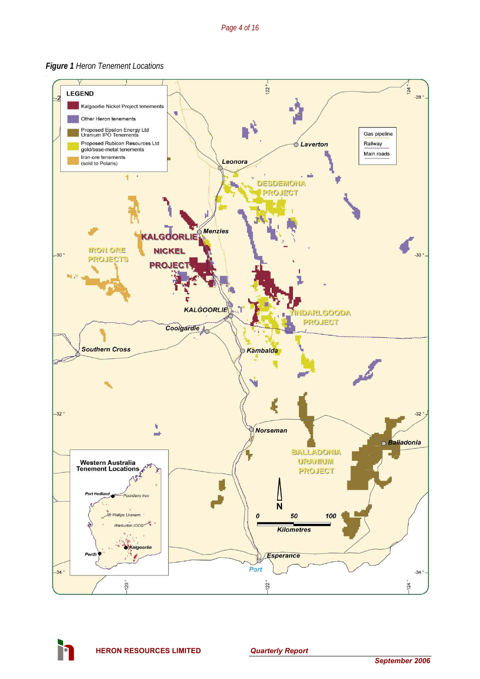



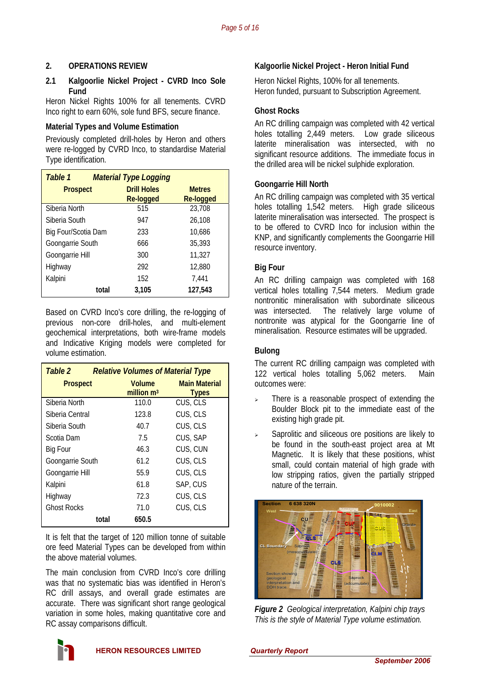## **2. OPERATIONS REVIEW**

#### **2.1 Kalgoorlie Nickel Project - CVRD Inco Sole Fund**

Heron Nickel Rights 100% for all tenements. CVRD Inco right to earn 60%, sole fund BFS, secure finance.

## **Material Types and Volume Estimation**

Previously completed drill-holes by Heron and others were re-logged by CVRD Inco, to standardise Material Type identification.

| Table 1<br><b>Material Type Logging</b> |                    |                  |  |  |  |  |
|-----------------------------------------|--------------------|------------------|--|--|--|--|
| <b>Prospect</b>                         | <b>Drill Holes</b> | <b>Metres</b>    |  |  |  |  |
|                                         | Re-logged          | <b>Re-logged</b> |  |  |  |  |
| Siberia North                           | 515                | 23,708           |  |  |  |  |
| Siberia South                           | 947                | 26,108           |  |  |  |  |
| Big Four/Scotia Dam                     | 233                | 10,686           |  |  |  |  |
| Goongarrie South                        | 666                | 35,393           |  |  |  |  |
| Goongarrie Hill                         | 300                | 11,327           |  |  |  |  |
| Highway                                 | 292                | 12,880           |  |  |  |  |
| Kalpini                                 | 152                | 7.441            |  |  |  |  |
| total                                   | 3,105              | 127,543          |  |  |  |  |

Based on CVRD Inco's core drilling, the re-logging of previous non-core drill-holes, and multi-element geochemical interpretations, both wire-frame models and Indicative Kriging models were completed for volume estimation.

| Table 2            | <b>Relative Volumes of Material Type</b> |               |  |  |  |  |
|--------------------|------------------------------------------|---------------|--|--|--|--|
| <b>Prospect</b>    | <b>Volume</b>                            | Main Material |  |  |  |  |
|                    | million $m3$                             | <b>Types</b>  |  |  |  |  |
| Siberia North      | 110.0                                    | CUS, CLS      |  |  |  |  |
| Siberia Central    | 123.8                                    | CUS, CLS      |  |  |  |  |
| Siberia South      | 40.7                                     | CUS, CLS      |  |  |  |  |
| Scotia Dam         | 7.5                                      | CUS, SAP      |  |  |  |  |
| Big Four           | 46.3                                     | CUS, CUN      |  |  |  |  |
| Goongarrie South   | 61.2                                     | CUS, CLS      |  |  |  |  |
| Goongarrie Hill    | 55.9                                     | CUS, CLS      |  |  |  |  |
| Kalpini            | 61.8                                     | SAP, CUS      |  |  |  |  |
| Highway            | 72.3                                     | CUS, CLS      |  |  |  |  |
| <b>Ghost Rocks</b> | 71.0                                     | CUS, CLS      |  |  |  |  |
| total              | 650.5                                    |               |  |  |  |  |

It is felt that the target of 120 million tonne of suitable ore feed Material Types can be developed from within the above material volumes.

The main conclusion from CVRD Inco's core drilling was that no systematic bias was identified in Heron's RC drill assays, and overall grade estimates are accurate. There was significant short range geological variation in some holes, making quantitative core and RC assay comparisons difficult.

## **Kalgoorlie Nickel Project - Heron Initial Fund**

Heron Nickel Rights, 100% for all tenements. Heron funded, pursuant to Subscription Agreement.

## **Ghost Rocks**

An RC drilling campaign was completed with 42 vertical holes totalling 2,449 meters. Low grade siliceous laterite mineralisation was intersected, with no significant resource additions. The immediate focus in the drilled area will be nickel sulphide exploration.

## **Goongarrie Hill North**

An RC drilling campaign was completed with 35 vertical holes totalling 1,542 meters. High grade siliceous laterite mineralisation was intersected. The prospect is to be offered to CVRD Inco for inclusion within the KNP, and significantly complements the Goongarrie Hill resource inventory.

## **Big Four**

An RC drilling campaign was completed with 168 vertical holes totalling 7,544 meters. Medium grade nontronitic mineralisation with subordinate siliceous was intersected. The relatively large volume of nontronite was atypical for the Goongarrie line of mineralisation. Resource estimates will be upgraded.

## **Bulong**

The current RC drilling campaign was completed with 122 vertical holes totalling 5,062 meters. Main outcomes were:

- There is a reasonable prospect of extending the Boulder Block pit to the immediate east of the existing high grade pit.
- Saprolitic and siliceous ore positions are likely to be found in the south-east project area at Mt Magnetic. It is likely that these positions, whist small, could contain material of high grade with low stripping ratios, given the partially stripped nature of the terrain.



*Figure 2 Geological interpretation, Kalpini chip trays This is the style of Material Type volume estimation.*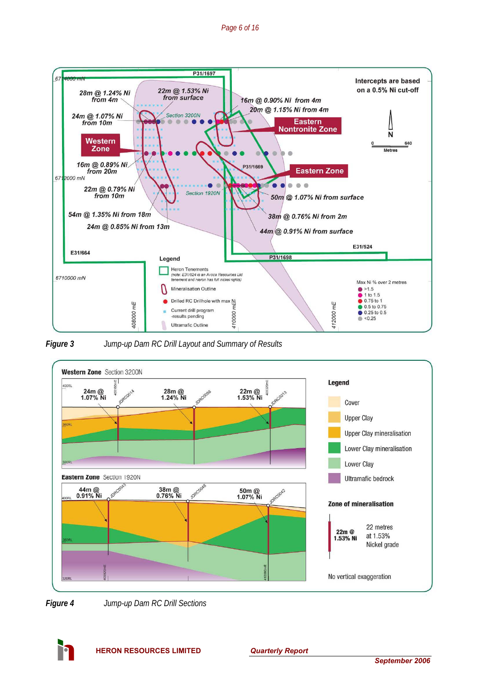

*Figure 3 Jump-up Dam RC Drill Layout and Summary of Results* 





**HERON RESOURCES LIMITED** *Quarterly Report*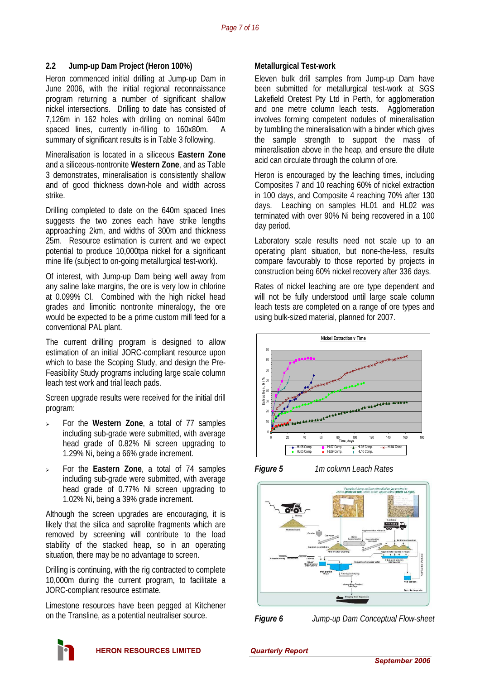## **2.2 Jump-up Dam Project (Heron 100%)**

Heron commenced initial drilling at Jump-up Dam in June 2006, with the initial regional reconnaissance program returning a number of significant shallow nickel intersections. Drilling to date has consisted of 7,126m in 162 holes with drilling on nominal 640m spaced lines, currently in-filling to 160x80m. A summary of significant results is in Table 3 following.

Mineralisation is located in a siliceous **Eastern Zone** and a siliceous-nontronite **Western Zone**, and as Table 3 demonstrates, mineralisation is consistently shallow and of good thickness down-hole and width across strike.

Drilling completed to date on the 640m spaced lines suggests the two zones each have strike lengths approaching 2km, and widths of 300m and thickness 25m. Resource estimation is current and we expect potential to produce 10,000tpa nickel for a significant mine life (subject to on-going metallurgical test-work).

Of interest, with Jump-up Dam being well away from any saline lake margins, the ore is very low in chlorine at 0.099% Cl. Combined with the high nickel head grades and limonitic nontronite mineralogy, the ore would be expected to be a prime custom mill feed for a conventional PAL plant.

The current drilling program is designed to allow estimation of an initial JORC-compliant resource upon which to base the Scoping Study, and design the Pre-Feasibility Study programs including large scale column leach test work and trial leach pads.

Screen upgrade results were received for the initial drill program:

- <sup>¾</sup> For the **Western Zone**, a total of 77 samples including sub-grade were submitted, with average head grade of 0.82% Ni screen upgrading to 1.29% Ni, being a 66% grade increment.
- <sup>¾</sup> For the **Eastern Zone**, a total of 74 samples including sub-grade were submitted, with average head grade of 0.77% Ni screen upgrading to 1.02% Ni, being a 39% grade increment.

Although the screen upgrades are encouraging, it is likely that the silica and saprolite fragments which are removed by screening will contribute to the load stability of the stacked heap, so in an operating situation, there may be no advantage to screen.

Drilling is continuing, with the rig contracted to complete 10,000m during the current program, to facilitate a JORC-compliant resource estimate.

Limestone resources have been pegged at Kitchener on the Transline, as a potential neutraliser source.

## **Metallurgical Test-work**

Eleven bulk drill samples from Jump-up Dam have been submitted for metallurgical test-work at SGS Lakefield Oretest Pty Ltd in Perth, for agglomeration and one metre column leach tests. Agglomeration involves forming competent nodules of mineralisation by tumbling the mineralisation with a binder which gives the sample strength to support the mass of mineralisation above in the heap, and ensure the dilute acid can circulate through the column of ore.

Heron is encouraged by the leaching times, including Composites 7 and 10 reaching 60% of nickel extraction in 100 days, and Composite 4 reaching 70% after 130 days. Leaching on samples HL01 and HL02 was terminated with over 90% Ni being recovered in a 100 day period.

Laboratory scale results need not scale up to an operating plant situation, but none-the-less, results compare favourably to those reported by projects in construction being 60% nickel recovery after 336 days.

Rates of nickel leaching are ore type dependent and will not be fully understood until large scale column leach tests are completed on a range of ore types and using bulk-sized material, planned for 2007.









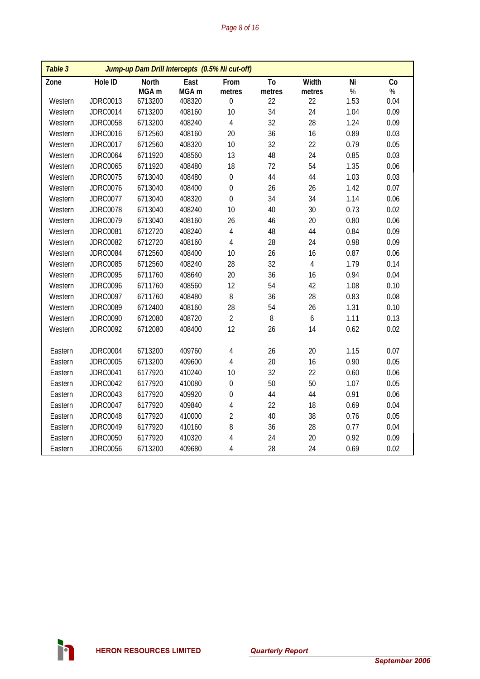| Page 8 of 16 |  |  |
|--------------|--|--|

| Table 3 |                 | Jump-up Dam Drill Intercepts (0.5% Ni cut-off) |                  |                  |        |                  |      |      |
|---------|-----------------|------------------------------------------------|------------------|------------------|--------|------------------|------|------|
| Zone    | Hole ID         | <b>North</b>                                   | East             | From             | To     | Width            | Ni   | Co   |
|         |                 | MGA <sub>m</sub>                               | MGA <sub>m</sub> | metres           | metres | metres           | $\%$ | $\%$ |
| Western | <b>JDRC0013</b> | 6713200                                        | 408320           | $\boldsymbol{0}$ | 22     | 22               | 1.53 | 0.04 |
| Western | <b>JDRC0014</b> | 6713200                                        | 408160           | 10               | 34     | 24               | 1.04 | 0.09 |
| Western | <b>JDRC0058</b> | 6713200                                        | 408240           | $\overline{4}$   | 32     | 28               | 1.24 | 0.09 |
| Western | <b>JDRC0016</b> | 6712560                                        | 408160           | 20               | 36     | 16               | 0.89 | 0.03 |
| Western | <b>JDRC0017</b> | 6712560                                        | 408320           | 10               | 32     | 22               | 0.79 | 0.05 |
| Western | <b>JDRC0064</b> | 6711920                                        | 408560           | 13               | 48     | 24               | 0.85 | 0.03 |
| Western | <b>JDRC0065</b> | 6711920                                        | 408480           | 18               | 72     | 54               | 1.35 | 0.06 |
| Western | <b>JDRC0075</b> | 6713040                                        | 408480           | $\mathbf 0$      | 44     | 44               | 1.03 | 0.03 |
| Western | <b>JDRC0076</b> | 6713040                                        | 408400           | $\overline{0}$   | 26     | 26               | 1.42 | 0.07 |
| Western | <b>JDRC0077</b> | 6713040                                        | 408320           | $\mathbf 0$      | 34     | 34               | 1.14 | 0.06 |
| Western | <b>JDRC0078</b> | 6713040                                        | 408240           | 10               | 40     | 30               | 0.73 | 0.02 |
| Western | <b>JDRC0079</b> | 6713040                                        | 408160           | 26               | 46     | 20               | 0.80 | 0.06 |
| Western | <b>JDRC0081</b> | 6712720                                        | 408240           | 4                | 48     | 44               | 0.84 | 0.09 |
| Western | <b>JDRC0082</b> | 6712720                                        | 408160           | $\overline{4}$   | 28     | 24               | 0.98 | 0.09 |
| Western | <b>JDRC0084</b> | 6712560                                        | 408400           | 10               | 26     | 16               | 0.87 | 0.06 |
| Western | <b>JDRC0085</b> | 6712560                                        | 408240           | 28               | 32     | $\sqrt{4}$       | 1.79 | 0.14 |
| Western | <b>JDRC0095</b> | 6711760                                        | 408640           | 20               | 36     | 16               | 0.94 | 0.04 |
| Western | <b>JDRC0096</b> | 6711760                                        | 408560           | 12               | 54     | 42               | 1.08 | 0.10 |
| Western | <b>JDRC0097</b> | 6711760                                        | 408480           | 8                | 36     | 28               | 0.83 | 0.08 |
| Western | <b>JDRC0089</b> | 6712400                                        | 408160           | 28               | 54     | 26               | 1.31 | 0.10 |
| Western | <b>JDRC0090</b> | 6712080                                        | 408720           | $\overline{2}$   | 8      | $\boldsymbol{6}$ | 1.11 | 0.13 |
| Western | <b>JDRC0092</b> | 6712080                                        | 408400           | 12               | 26     | 14               | 0.62 | 0.02 |
| Eastern | <b>JDRC0004</b> | 6713200                                        | 409760           | 4                | 26     | 20               | 1.15 | 0.07 |
| Eastern | <b>JDRC0005</b> | 6713200                                        | 409600           | 4                | 20     | 16               | 0.90 | 0.05 |
| Eastern | <b>JDRC0041</b> | 6177920                                        | 410240           | 10               | 32     | 22               | 0.60 | 0.06 |
| Eastern | <b>JDRC0042</b> | 6177920                                        | 410080           | $\mathbf{0}$     | 50     | 50               | 1.07 | 0.05 |
| Eastern | <b>JDRC0043</b> | 6177920                                        | 409920           | 0                | 44     | 44               | 0.91 | 0.06 |
| Eastern | <b>JDRC0047</b> | 6177920                                        | 409840           | 4                | 22     | 18               | 0.69 | 0.04 |
| Eastern | <b>JDRC0048</b> | 6177920                                        | 410000           | $\overline{2}$   | 40     | 38               | 0.76 | 0.05 |
| Eastern | <b>JDRC0049</b> | 6177920                                        | 410160           | 8                | 36     | 28               | 0.77 | 0.04 |
| Eastern | <b>JDRC0050</b> | 6177920                                        | 410320           | 4                | 24     | 20               | 0.92 | 0.09 |
| Eastern | <b>JDRC0056</b> | 6713200                                        | 409680           | 4                | 28     | 24               | 0.69 | 0.02 |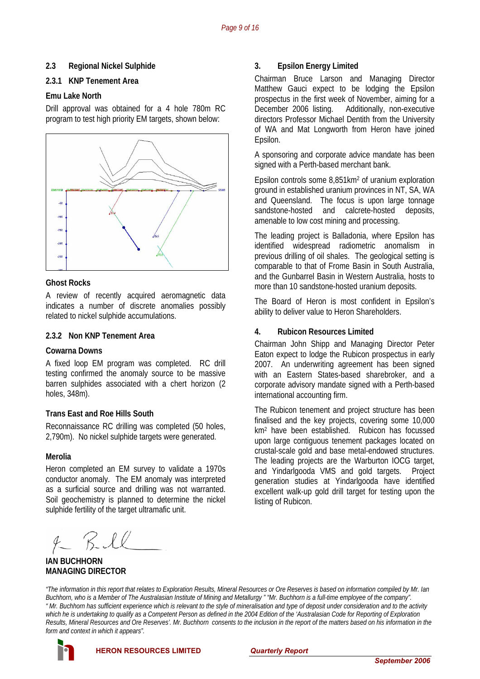## **2.3 Regional Nickel Sulphide**

#### **2.3.1 KNP Tenement Area**

#### **Emu Lake North**

Drill approval was obtained for a 4 hole 780m RC program to test high priority EM targets, shown below:



#### **Ghost Rocks**

A review of recently acquired aeromagnetic data indicates a number of discrete anomalies possibly related to nickel sulphide accumulations.

#### **2.3.2 Non KNP Tenement Area**

#### **Cowarna Downs**

A fixed loop EM program was completed. RC drill testing confirmed the anomaly source to be massive barren sulphides associated with a chert horizon (2 holes, 348m).

#### **Trans East and Roe Hills South**

Reconnaissance RC drilling was completed (50 holes, 2,790m). No nickel sulphide targets were generated.

#### **Merolia**

Heron completed an EM survey to validate a 1970s conductor anomaly. The EM anomaly was interpreted as a surficial source and drilling was not warranted. Soil geochemistry is planned to determine the nickel sulphide fertility of the target ultramafic unit.

## **IAN BUCHHORN MANAGING DIRECTOR**

#### *"The information in this report that relates to Exploration Results, Mineral Resources or Ore Reserves is based on information compiled by Mr. Ian Buchhorn, who is a Member of The Australasian Institute of Mining and Metallurgy " "Mr. Buchhorn is a full-time employee of the company". " Mr. Buchhorn has sufficient experience which is relevant to the style of mineralisation and type of deposit under consideration and to the activity which he is undertaking to qualify as a Competent Person as defined in the 2004 Edition of the 'Australasian Code for Reporting of Exploration Results, Mineral Resources and Ore Reserves'. Mr. Buchhorn consents to the inclusion in the report of the matters based on his information in the form and context in which it appears".*



### **HERON RESOURCES LIMITED** *Quarterly Report*

## **3. Epsilon Energy Limited**

Chairman Bruce Larson and Managing Director Matthew Gauci expect to be lodging the Epsilon prospectus in the first week of November, aiming for a December 2006 listing. Additionally, non-executive directors Professor Michael Dentith from the University of WA and Mat Longworth from Heron have joined Epsilon.

A sponsoring and corporate advice mandate has been signed with a Perth-based merchant bank.

Epsilon controls some 8,851km2 of uranium exploration ground in established uranium provinces in NT, SA, WA and Queensland. The focus is upon large tonnage sandstone-hosted and calcrete-hosted deposits, amenable to low cost mining and processing.

The leading project is Balladonia, where Epsilon has identified widespread radiometric anomalism in previous drilling of oil shales. The geological setting is comparable to that of Frome Basin in South Australia, and the Gunbarrel Basin in Western Australia, hosts to more than 10 sandstone-hosted uranium deposits.

The Board of Heron is most confident in Epsilon's ability to deliver value to Heron Shareholders.

#### **4. Rubicon Resources Limited**

Chairman John Shipp and Managing Director Peter Eaton expect to lodge the Rubicon prospectus in early 2007. An underwriting agreement has been signed with an Eastern States-based sharebroker, and a corporate advisory mandate signed with a Perth-based international accounting firm.

The Rubicon tenement and project structure has been finalised and the key projects, covering some 10,000 km2 have been established. Rubicon has focussed upon large contiguous tenement packages located on crustal-scale gold and base metal-endowed structures. The leading projects are the Warburton IOCG target, and Yindarlgooda VMS and gold targets. Project generation studies at Yindarlgooda have identified excellent walk-up gold drill target for testing upon the listing of Rubicon.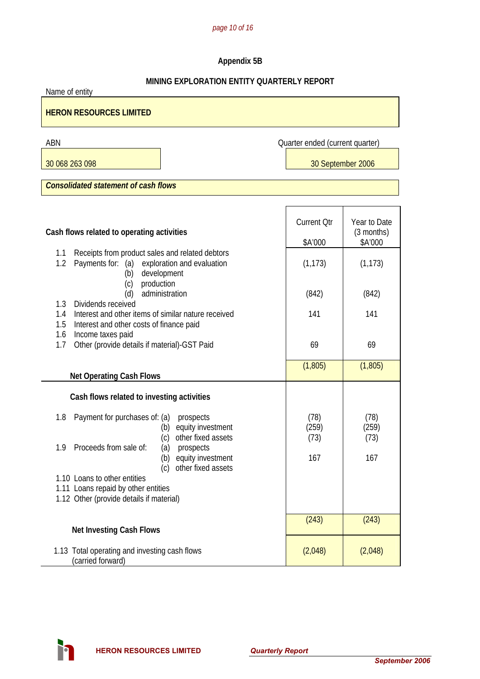#### *page 10 of 16*

## **Appendix 5B**

## **MINING EXPLORATION ENTITY QUARTERLY REPORT**

| Name of entity                                                                                                                             |                                 |                            |  |  |
|--------------------------------------------------------------------------------------------------------------------------------------------|---------------------------------|----------------------------|--|--|
| <b>HERON RESOURCES LIMITED</b>                                                                                                             |                                 |                            |  |  |
| ABN                                                                                                                                        | Quarter ended (current quarter) |                            |  |  |
| 30 068 263 098                                                                                                                             | 30 September 2006               |                            |  |  |
| <b>Consolidated statement of cash flows</b>                                                                                                |                                 |                            |  |  |
|                                                                                                                                            |                                 |                            |  |  |
| Cash flows related to operating activities                                                                                                 | <b>Current Qtr</b>              | Year to Date<br>(3 months) |  |  |
|                                                                                                                                            | \$A'000                         | \$A'000                    |  |  |
| 1.1<br>Receipts from product sales and related debtors<br>1.2<br>Payments for: (a)<br>exploration and evaluation<br>development<br>(b)     | (1, 173)                        | (1, 173)                   |  |  |
| production<br>(c)<br>administration<br>(d)                                                                                                 | (842)                           | (842)                      |  |  |
| Dividends received<br>1.3<br>Interest and other items of similar nature received<br>1.4<br>1.5<br>Interest and other costs of finance paid | 141                             | 141                        |  |  |
| 1.6<br>Income taxes paid<br>1.7<br>Other (provide details if material)-GST Paid                                                            | 69                              | 69                         |  |  |
|                                                                                                                                            | (1, 805)                        | (1, 805)                   |  |  |
| <b>Net Operating Cash Flows</b>                                                                                                            |                                 |                            |  |  |
| Cash flows related to investing activities                                                                                                 |                                 |                            |  |  |
| 1.8<br>Payment for purchases of: (a)<br>prospects<br>equity investment<br>(b)<br>other fixed assets<br>(c)                                 | (78)<br>(259)<br>(73)           | (78)<br>(259)<br>(73)      |  |  |
| 1.9 Proceeds from sale of:<br>(a)<br>prospects                                                                                             |                                 |                            |  |  |
| equity investment<br>(b)<br>other fixed assets<br>(c)                                                                                      | 167                             | 167                        |  |  |
| 1.10 Loans to other entities                                                                                                               |                                 |                            |  |  |
| 1.11 Loans repaid by other entities<br>1.12 Other (provide details if material)                                                            |                                 |                            |  |  |
| <b>Net Investing Cash Flows</b>                                                                                                            | (243)                           | (243)                      |  |  |
| 1.13 Total operating and investing cash flows<br>(carried forward)                                                                         | (2,048)                         | (2,048)                    |  |  |

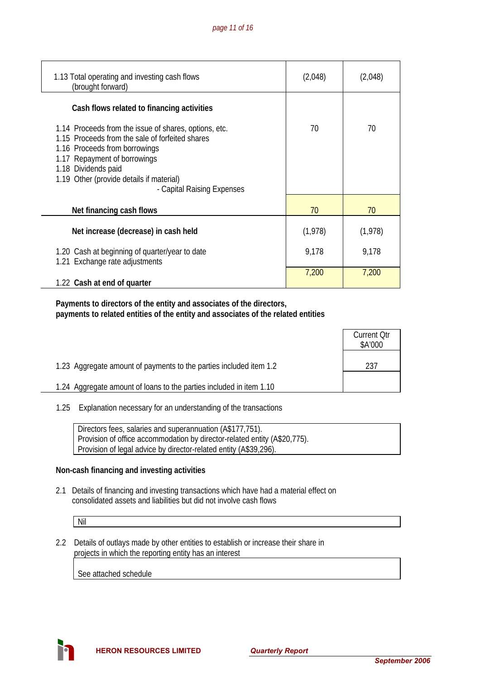| 1.13 Total operating and investing cash flows<br>(brought forward)                                                                                                                                                                                                         | (2,048) | (2,048) |
|----------------------------------------------------------------------------------------------------------------------------------------------------------------------------------------------------------------------------------------------------------------------------|---------|---------|
| Cash flows related to financing activities                                                                                                                                                                                                                                 |         |         |
| 1.14 Proceeds from the issue of shares, options, etc.<br>1.15 Proceeds from the sale of forfeited shares<br>1.16 Proceeds from borrowings<br>1.17 Repayment of borrowings<br>1.18 Dividends paid<br>1.19 Other (provide details if material)<br>- Capital Raising Expenses | 70      | 70      |
| Net financing cash flows                                                                                                                                                                                                                                                   | 70      | 70      |
| Net increase (decrease) in cash held                                                                                                                                                                                                                                       | (1,978) | (1,978) |
| 1.20 Cash at beginning of quarter/year to date<br>1.21 Exchange rate adjustments                                                                                                                                                                                           | 9,178   | 9,178   |
| 1.22 Cash at end of quarter                                                                                                                                                                                                                                                | 7,200   | 7,200   |

## **Payments to directors of the entity and associates of the directors, payments to related entities of the entity and associates of the related entities**

|                                                                     | <b>Current Qtr</b><br>\$A'000 |
|---------------------------------------------------------------------|-------------------------------|
| 1.23 Aggregate amount of payments to the parties included item 1.2  | 237                           |
| 1.24 Aggregate amount of loans to the parties included in item 1.10 |                               |

1.25 Explanation necessary for an understanding of the transactions

 Directors fees, salaries and superannuation (A\$177,751). Provision of office accommodation by director-related entity (A\$20,775). Provision of legal advice by director-related entity (A\$39,296).

## **Non-cash financing and investing activities**

 2.1 Details of financing and investing transactions which have had a material effect on consolidated assets and liabilities but did not involve cash flows

Nil

 2.2 Details of outlays made by other entities to establish or increase their share in projects in which the reporting entity has an interest

See attached schedule

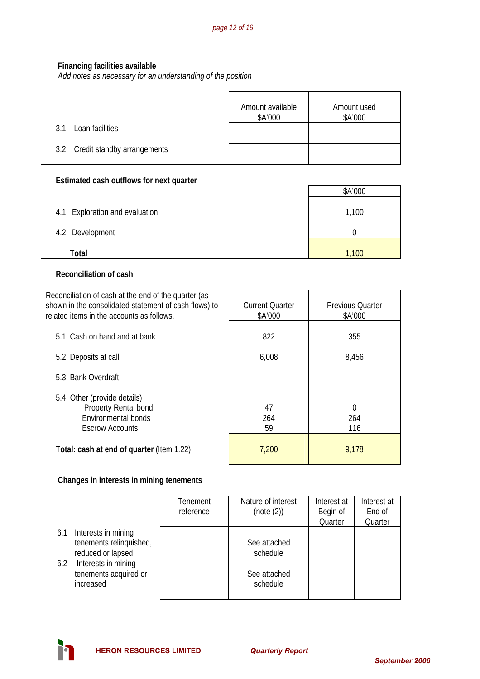## **Financing facilities available**

*Add notes as necessary for an understanding of the position*

|                                 | Amount available<br>\$A'000 | Amount used<br>\$A'000 |
|---------------------------------|-----------------------------|------------------------|
| Loan facilities<br>31           |                             |                        |
| 3.2 Credit standby arrangements |                             |                        |

#### **Estimated cash outflows for next quarter**

|                                | \$A'000 |
|--------------------------------|---------|
| 4.1 Exploration and evaluation | 1,100   |
| 4.2 Development                |         |
| Total                          | 1,100   |

 $\mathbf{r}$ 

ī

### **Reconciliation of cash**

Reconciliation of cash at the end of the quarter (as shown in the consolidated statement of cash flows) to

| shown in the consolidated statement of cash flows) to<br>related items in the accounts as follows.          | <b>Current Quarter</b><br>\$A'000 | <b>Previous Quarter</b><br>\$A'000 |
|-------------------------------------------------------------------------------------------------------------|-----------------------------------|------------------------------------|
| 5.1 Cash on hand and at bank                                                                                | 822                               | 355                                |
| 5.2 Deposits at call                                                                                        | 6,008                             | 8,456                              |
| 5.3 Bank Overdraft                                                                                          |                                   |                                    |
| 5.4 Other (provide details)<br>Property Rental bond<br><b>Environmental bonds</b><br><b>Escrow Accounts</b> | 47<br>264<br>59                   | $\Omega$<br>264<br>116             |
| Total: cash at end of quarter (Item 1.22)                                                                   | 7,200                             | 9,178                              |

## **Changes in interests in mining tenements**

|                                                                            | Tenement<br>reference | Nature of interest<br>(note (2)) | Interest at<br>Begin of | Interest at<br>End of |
|----------------------------------------------------------------------------|-----------------------|----------------------------------|-------------------------|-----------------------|
|                                                                            |                       |                                  | Quarter                 | Quarter               |
| Interests in mining<br>6.1<br>tenements relinquished,<br>reduced or lapsed |                       | See attached<br>schedule         |                         |                       |
| Interests in mining<br>6.2<br>tenements acquired or<br>increased           |                       | See attached<br>schedule         |                         |                       |

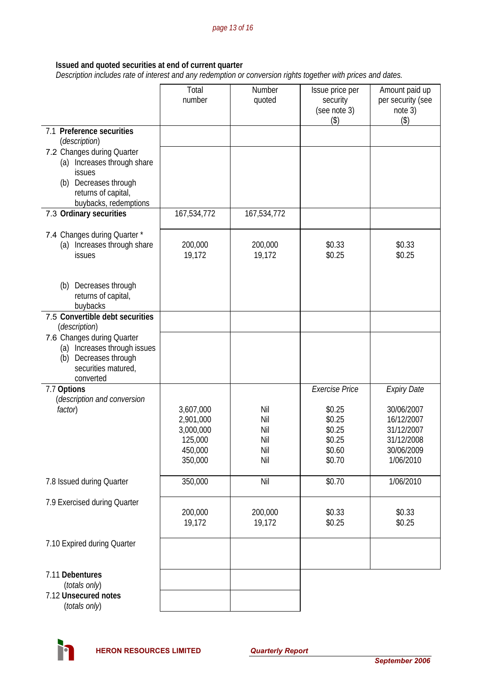#### **Issued and quoted securities at end of current quarter**

 *Description includes rate of interest and any redemption or conversion rights together with prices and dates.* 

|                                                                                                                                                                  | Total<br>number                                                      | Number<br>quoted                       | Issue price per<br>security<br>(see note 3)<br>$($ \$)   | Amount paid up<br>per security (see<br>note 3)<br>$($ \$)                       |
|------------------------------------------------------------------------------------------------------------------------------------------------------------------|----------------------------------------------------------------------|----------------------------------------|----------------------------------------------------------|---------------------------------------------------------------------------------|
| 7.1 Preference securities                                                                                                                                        |                                                                      |                                        |                                                          |                                                                                 |
| (description)<br>7.2 Changes during Quarter<br>(a) Increases through share<br>issues<br>Decreases through<br>(b)<br>returns of capital,<br>buybacks, redemptions |                                                                      |                                        |                                                          |                                                                                 |
| 7.3 Ordinary securities                                                                                                                                          | 167,534,772                                                          | 167,534,772                            |                                                          |                                                                                 |
| 7.4 Changes during Quarter *<br>(a) Increases through share<br>issues                                                                                            | 200,000<br>19,172                                                    | 200,000<br>19,172                      | \$0.33<br>\$0.25                                         | \$0.33<br>\$0.25                                                                |
| Decreases through<br>(b)<br>returns of capital,<br>buybacks                                                                                                      |                                                                      |                                        |                                                          |                                                                                 |
| 7.5 Convertible debt securities<br>(description)                                                                                                                 |                                                                      |                                        |                                                          |                                                                                 |
| 7.6 Changes during Quarter<br>(a) Increases through issues<br>Decreases through<br>(b)<br>securities matured,<br>converted                                       |                                                                      |                                        |                                                          |                                                                                 |
| 7.7 Options<br>(description and conversion                                                                                                                       |                                                                      |                                        | <b>Exercise Price</b>                                    | <b>Expiry Date</b>                                                              |
| factor)                                                                                                                                                          | 3,607,000<br>2,901,000<br>3,000,000<br>125,000<br>450,000<br>350,000 | Nil<br>Nil<br>Nil<br>Nil<br>Nil<br>Nil | \$0.25<br>\$0.25<br>\$0.25<br>\$0.25<br>\$0.60<br>\$0.70 | 30/06/2007<br>16/12/2007<br>31/12/2007<br>31/12/2008<br>30/06/2009<br>1/06/2010 |
| 7.8 Issued during Quarter                                                                                                                                        | 350,000                                                              | Nil                                    | \$0.70                                                   | 1/06/2010                                                                       |
| 7.9 Exercised during Quarter                                                                                                                                     | 200,000<br>19,172                                                    | 200,000<br>19,172                      | \$0.33<br>\$0.25                                         | \$0.33<br>\$0.25                                                                |
| 7.10 Expired during Quarter                                                                                                                                      |                                                                      |                                        |                                                          |                                                                                 |
| 7.11 Debentures<br>(totals only)<br>7.12 Unsecured notes<br>(totals only)                                                                                        |                                                                      |                                        |                                                          |                                                                                 |

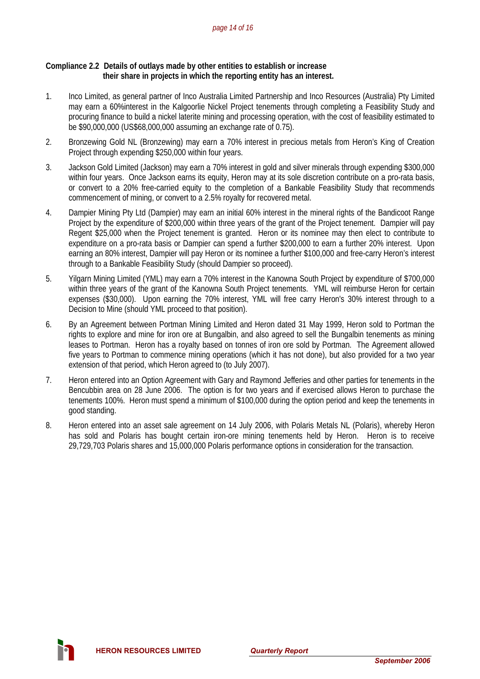### **Compliance 2.2 Details of outlays made by other entities to establish or increase their share in projects in which the reporting entity has an interest.**

- 1. Inco Limited, as general partner of Inco Australia Limited Partnership and Inco Resources (Australia) Pty Limited may earn a 60%interest in the Kalgoorlie Nickel Project tenements through completing a Feasibility Study and procuring finance to build a nickel laterite mining and processing operation, with the cost of feasibility estimated to be \$90,000,000 (US\$68,000,000 assuming an exchange rate of 0.75).
- 2. Bronzewing Gold NL (Bronzewing) may earn a 70% interest in precious metals from Heron's King of Creation Project through expending \$250,000 within four years.
- 3. Jackson Gold Limited (Jackson) may earn a 70% interest in gold and silver minerals through expending \$300,000 within four years. Once Jackson earns its equity, Heron may at its sole discretion contribute on a pro-rata basis, or convert to a 20% free-carried equity to the completion of a Bankable Feasibility Study that recommends commencement of mining, or convert to a 2.5% royalty for recovered metal.
- 4. Dampier Mining Pty Ltd (Dampier) may earn an initial 60% interest in the mineral rights of the Bandicoot Range Project by the expenditure of \$200,000 within three years of the grant of the Project tenement. Dampier will pay Regent \$25,000 when the Project tenement is granted. Heron or its nominee may then elect to contribute to expenditure on a pro-rata basis or Dampier can spend a further \$200,000 to earn a further 20% interest. Upon earning an 80% interest, Dampier will pay Heron or its nominee a further \$100,000 and free-carry Heron's interest through to a Bankable Feasibility Study (should Dampier so proceed).
- 5. Yilgarn Mining Limited (YML) may earn a 70% interest in the Kanowna South Project by expenditure of \$700,000 within three years of the grant of the Kanowna South Project tenements. YML will reimburse Heron for certain expenses (\$30,000). Upon earning the 70% interest, YML will free carry Heron's 30% interest through to a Decision to Mine (should YML proceed to that position).
- 6. By an Agreement between Portman Mining Limited and Heron dated 31 May 1999, Heron sold to Portman the rights to explore and mine for iron ore at Bungalbin, and also agreed to sell the Bungalbin tenements as mining leases to Portman. Heron has a royalty based on tonnes of iron ore sold by Portman. The Agreement allowed five years to Portman to commence mining operations (which it has not done), but also provided for a two year extension of that period, which Heron agreed to (to July 2007).
- 7. Heron entered into an Option Agreement with Gary and Raymond Jefferies and other parties for tenements in the Bencubbin area on 28 June 2006. The option is for two years and if exercised allows Heron to purchase the tenements 100%. Heron must spend a minimum of \$100,000 during the option period and keep the tenements in good standing.
- 8. Heron entered into an asset sale agreement on 14 July 2006, with Polaris Metals NL (Polaris), whereby Heron has sold and Polaris has bought certain iron-ore mining tenements held by Heron. Heron is to receive 29,729,703 Polaris shares and 15,000,000 Polaris performance options in consideration for the transaction.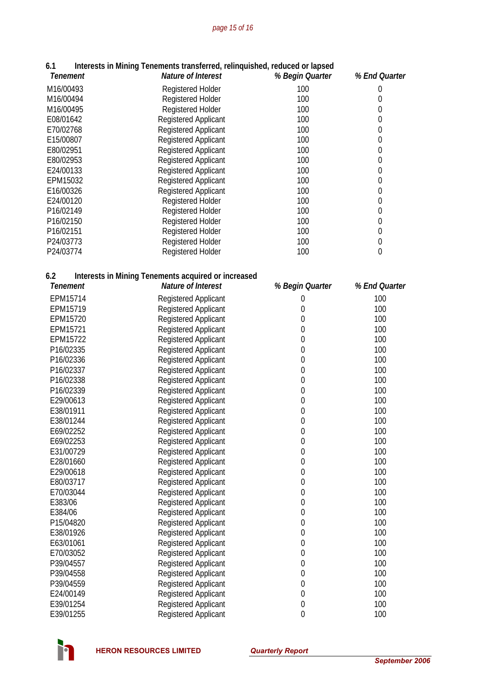|  | 6.1 |  | Interests in Mining Tenements transferred, relinquished, reduced or lapsed |  |  |  |
|--|-----|--|----------------------------------------------------------------------------|--|--|--|
|--|-----|--|----------------------------------------------------------------------------|--|--|--|

| Tenement               | Nature of Interest          | % Begin Quarter | % End Quarter |
|------------------------|-----------------------------|-----------------|---------------|
| M16/00493              | <b>Registered Holder</b>    | 100             |               |
| M16/00494              | <b>Registered Holder</b>    | 100             |               |
| M16/00495              | <b>Registered Holder</b>    | 100             |               |
| E08/01642              | <b>Registered Applicant</b> | 100             | O             |
| E70/02768              | <b>Registered Applicant</b> | 100             | 0             |
| E15/00807              | <b>Registered Applicant</b> | 100             | 0             |
| E80/02951              | <b>Registered Applicant</b> | 100             | 0             |
| E80/02953              | <b>Registered Applicant</b> | 100             | O             |
| E24/00133              | <b>Registered Applicant</b> | 100             | O             |
| EPM15032               | Registered Applicant        | 100             | O             |
| E16/00326              | <b>Registered Applicant</b> | 100             | O             |
| E24/00120              | <b>Registered Holder</b>    | 100             | O             |
| P <sub>16</sub> /02149 | <b>Registered Holder</b>    | 100             | 0             |
| P <sub>16</sub> /02150 | <b>Registered Holder</b>    | 100             | O             |
| P16/02151              | <b>Registered Holder</b>    | 100             | 0             |
| P24/03773              | <b>Registered Holder</b>    | 100             | 0             |
| P24/03774              | <b>Registered Holder</b>    | 100             | 0             |

## **6.2 Interests in Mining Tenements acquired or increased**

| <b>Tenement</b> | Nature of Interest          | % Begin Quarter  | % End Quarter |
|-----------------|-----------------------------|------------------|---------------|
| EPM15714        | <b>Registered Applicant</b> | $\boldsymbol{0}$ | 100           |
| EPM15719        | <b>Registered Applicant</b> | $\mathbf 0$      | 100           |
| EPM15720        | <b>Registered Applicant</b> | $\mathbf 0$      | 100           |
| EPM15721        | <b>Registered Applicant</b> | $\mathbf 0$      | 100           |
| EPM15722        | <b>Registered Applicant</b> | $\mathbf 0$      | 100           |
| P16/02335       | <b>Registered Applicant</b> | $\mathbf 0$      | 100           |
| P16/02336       | <b>Registered Applicant</b> | $\mathbf 0$      | 100           |
| P16/02337       | <b>Registered Applicant</b> | $\mathbf 0$      | 100           |
| P16/02338       | <b>Registered Applicant</b> | $\mathbf 0$      | 100           |
| P16/02339       | <b>Registered Applicant</b> | $\mathbf 0$      | 100           |
| E29/00613       | <b>Registered Applicant</b> | $\mathbf{0}$     | 100           |
| E38/01911       | <b>Registered Applicant</b> | $\mathbf 0$      | 100           |
| E38/01244       | Registered Applicant        | $\mathbf 0$      | 100           |
| E69/02252       | <b>Registered Applicant</b> | $\mathbf 0$      | 100           |
| E69/02253       | <b>Registered Applicant</b> | $\mathbf{0}$     | 100           |
| E31/00729       | <b>Registered Applicant</b> | 0                | 100           |
| E28/01660       | <b>Registered Applicant</b> | $\mathbf 0$      | 100           |
| E29/00618       | <b>Registered Applicant</b> | $\mathbf 0$      | 100           |
| E80/03717       | <b>Registered Applicant</b> | $\mathbf{0}$     | 100           |
| E70/03044       | <b>Registered Applicant</b> | $\mathbf 0$      | 100           |
| E383/06         | <b>Registered Applicant</b> | $\mathbf 0$      | 100           |
| E384/06         | <b>Registered Applicant</b> | $\mathbf 0$      | 100           |
| P15/04820       | <b>Registered Applicant</b> | $\mathbf{0}$     | 100           |
| E38/01926       | <b>Registered Applicant</b> | $\mathbf 0$      | 100           |
| E63/01061       | <b>Registered Applicant</b> | $\mathbf{0}$     | 100           |
| E70/03052       | <b>Registered Applicant</b> | $\mathbf 0$      | 100           |
| P39/04557       | Registered Applicant        | $\mathbf 0$      | 100           |
| P39/04558       | <b>Registered Applicant</b> | $\mathbf 0$      | 100           |
| P39/04559       | Registered Applicant        | $\mathbf 0$      | 100           |
| E24/00149       | <b>Registered Applicant</b> | $\mathbf 0$      | 100           |
| E39/01254       | <b>Registered Applicant</b> | $\mathbf 0$      | 100           |
| E39/01255       | <b>Registered Applicant</b> | $\mathbf{0}$     | 100           |